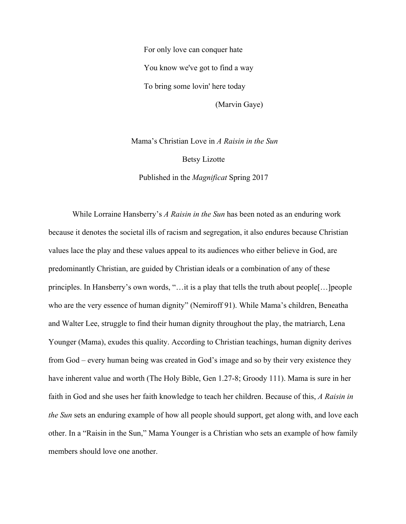For only love can conquer hate You know we've got to find a way To bring some lovin' here today

(Marvin Gaye)

Mama's Christian Love in *A Raisin in the Sun* Betsy Lizotte Published in the *Magnificat* Spring 2017

While Lorraine Hansberry's *A Raisin in the Sun* has been noted as an enduring work because it denotes the societal ills of racism and segregation, it also endures because Christian values lace the play and these values appeal to its audiences who either believe in God, are predominantly Christian, are guided by Christian ideals or a combination of any of these principles. In Hansberry's own words, "…it is a play that tells the truth about people[…]people who are the very essence of human dignity" (Nemiroff 91). While Mama's children, Beneatha and Walter Lee, struggle to find their human dignity throughout the play, the matriarch, Lena Younger (Mama), exudes this quality. According to Christian teachings, human dignity derives from God – every human being was created in God's image and so by their very existence they have inherent value and worth (The Holy Bible, Gen 1.27-8; Groody 111). Mama is sure in her faith in God and she uses her faith knowledge to teach her children. Because of this, *A Raisin in the Sun* sets an enduring example of how all people should support, get along with, and love each other. In a "Raisin in the Sun," Mama Younger is a Christian who sets an example of how family members should love one another.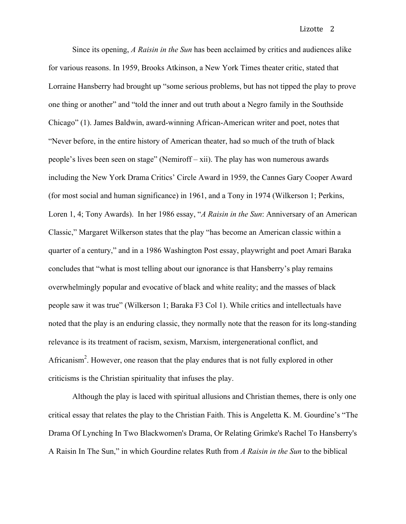Since its opening, *A Raisin in the Sun* has been acclaimed by critics and audiences alike for various reasons. In 1959, Brooks Atkinson, a New York Times theater critic, stated that Lorraine Hansberry had brought up "some serious problems, but has not tipped the play to prove one thing or another" and "told the inner and out truth about a Negro family in the Southside Chicago" (1). James Baldwin, award-winning African-American writer and poet, notes that "Never before, in the entire history of American theater, had so much of the truth of black people's lives been seen on stage" (Nemiroff – xii). The play has won numerous awards including the New York Drama Critics' Circle Award in 1959, the Cannes Gary Cooper Award (for most social and human significance) in 1961, and a Tony in 1974 (Wilkerson 1; Perkins, Loren 1, 4; Tony Awards). In her 1986 essay, "*A Raisin in the Sun*: Anniversary of an American Classic," Margaret Wilkerson states that the play "has become an American classic within a quarter of a century," and in a 1986 Washington Post essay, playwright and poet Amari Baraka concludes that "what is most telling about our ignorance is that Hansberry's play remains overwhelmingly popular and evocative of black and white reality; and the masses of black people saw it was true" (Wilkerson 1; Baraka F3 Col 1). While critics and intellectuals have noted that the play is an enduring classic, they normally note that the reason for its long-standing relevance is its treatment of racism, sexism, Marxism, intergenerational conflict, and Africanism<sup>2</sup>. However, one reason that the play endures that is not fully explored in other criticisms is the Christian spirituality that infuses the play.

Although the play is laced with spiritual allusions and Christian themes, there is only one critical essay that relates the play to the Christian Faith. This is Angeletta K. M. Gourdine's "The Drama Of Lynching In Two Blackwomen's Drama, Or Relating Grimke's Rachel To Hansberry's A Raisin In The Sun," in which Gourdine relates Ruth from *A Raisin in the Sun* to the biblical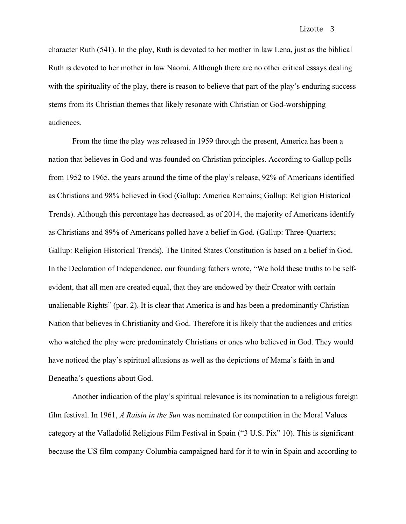character Ruth (541). In the play, Ruth is devoted to her mother in law Lena, just as the biblical Ruth is devoted to her mother in law Naomi. Although there are no other critical essays dealing with the spirituality of the play, there is reason to believe that part of the play's enduring success stems from its Christian themes that likely resonate with Christian or God-worshipping audiences.

From the time the play was released in 1959 through the present, America has been a nation that believes in God and was founded on Christian principles. According to Gallup polls from 1952 to 1965, the years around the time of the play's release, 92% of Americans identified as Christians and 98% believed in God (Gallup: America Remains; Gallup: Religion Historical Trends). Although this percentage has decreased, as of 2014, the majority of Americans identify as Christians and 89% of Americans polled have a belief in God. (Gallup: Three-Quarters; Gallup: Religion Historical Trends). The United States Constitution is based on a belief in God. In the Declaration of Independence, our founding fathers wrote, "We hold these truths to be selfevident, that all men are created equal, that they are endowed by their Creator with certain unalienable Rights" (par. 2). It is clear that America is and has been a predominantly Christian Nation that believes in Christianity and God. Therefore it is likely that the audiences and critics who watched the play were predominately Christians or ones who believed in God. They would have noticed the play's spiritual allusions as well as the depictions of Mama's faith in and Beneatha's questions about God.

Another indication of the play's spiritual relevance is its nomination to a religious foreign film festival. In 1961, *A Raisin in the Sun* was nominated for competition in the Moral Values category at the Valladolid Religious Film Festival in Spain ("3 U.S. Pix" 10). This is significant because the US film company Columbia campaigned hard for it to win in Spain and according to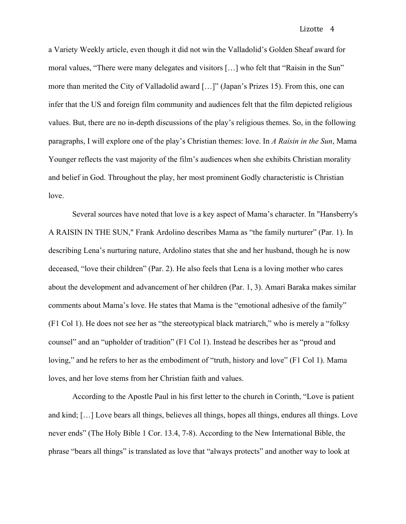a Variety Weekly article, even though it did not win the Valladolid's Golden Sheaf award for moral values, "There were many delegates and visitors […] who felt that "Raisin in the Sun" more than merited the City of Valladolid award […]" (Japan's Prizes 15). From this, one can infer that the US and foreign film community and audiences felt that the film depicted religious values. But, there are no in-depth discussions of the play's religious themes. So, in the following paragraphs, I will explore one of the play's Christian themes: love. In *A Raisin in the Sun*, Mama Younger reflects the vast majority of the film's audiences when she exhibits Christian morality and belief in God. Throughout the play, her most prominent Godly characteristic is Christian love.

Several sources have noted that love is a key aspect of Mama's character. In "Hansberry's A RAISIN IN THE SUN," Frank Ardolino describes Mama as "the family nurturer" (Par. 1). In describing Lena's nurturing nature, Ardolino states that she and her husband, though he is now deceased, "love their children" (Par. 2). He also feels that Lena is a loving mother who cares about the development and advancement of her children (Par. 1, 3). Amari Baraka makes similar comments about Mama's love. He states that Mama is the "emotional adhesive of the family" (F1 Col 1). He does not see her as "the stereotypical black matriarch," who is merely a "folksy counsel" and an "upholder of tradition" (F1 Col 1). Instead he describes her as "proud and loving," and he refers to her as the embodiment of "truth, history and love" (F1 Col 1). Mama loves, and her love stems from her Christian faith and values.

According to the Apostle Paul in his first letter to the church in Corinth, "Love is patient and kind; […] Love bears all things, believes all things, hopes all things, endures all things. Love never ends" (The Holy Bible 1 Cor. 13.4, 7-8). According to the New International Bible, the phrase "bears all things" is translated as love that "always protects" and another way to look at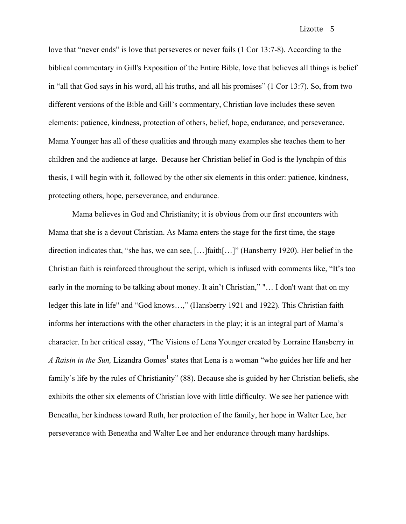love that "never ends" is love that perseveres or never fails (1 Cor 13:7-8). According to the biblical commentary in Gill's Exposition of the Entire Bible, love that believes all things is belief in "all that God says in his word, all his truths, and all his promises" (1 Cor 13:7). So, from two different versions of the Bible and Gill's commentary, Christian love includes these seven elements: patience, kindness, protection of others, belief, hope, endurance, and perseverance. Mama Younger has all of these qualities and through many examples she teaches them to her children and the audience at large. Because her Christian belief in God is the lynchpin of this thesis, I will begin with it, followed by the other six elements in this order: patience, kindness, protecting others, hope, perseverance, and endurance.

Mama believes in God and Christianity; it is obvious from our first encounters with Mama that she is a devout Christian. As Mama enters the stage for the first time, the stage direction indicates that, "she has, we can see, […]faith[…]" (Hansberry 1920). Her belief in the Christian faith is reinforced throughout the script, which is infused with comments like, "It's too early in the morning to be talking about money. It ain't Christian," "… I don't want that on my ledger this late in life" and "God knows...," (Hansberry 1921 and 1922). This Christian faith informs her interactions with the other characters in the play; it is an integral part of Mama's character. In her critical essay, "The Visions of Lena Younger created by Lorraine Hansberry in *A Raisin in the Sun*, Lizandra Gomes<sup>1</sup> states that Lena is a woman "who guides her life and her family's life by the rules of Christianity" (88). Because she is guided by her Christian beliefs, she exhibits the other six elements of Christian love with little difficulty. We see her patience with Beneatha, her kindness toward Ruth, her protection of the family, her hope in Walter Lee, her perseverance with Beneatha and Walter Lee and her endurance through many hardships.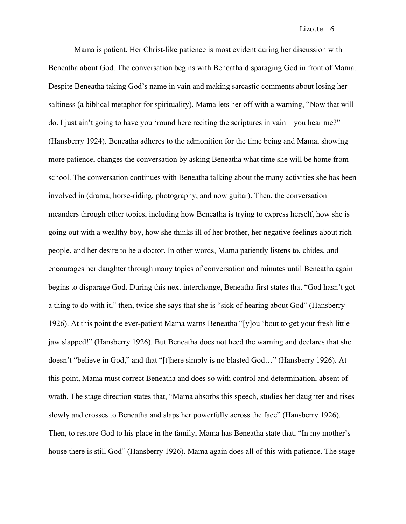Mama is patient. Her Christ-like patience is most evident during her discussion with Beneatha about God. The conversation begins with Beneatha disparaging God in front of Mama. Despite Beneatha taking God's name in vain and making sarcastic comments about losing her saltiness (a biblical metaphor for spirituality), Mama lets her off with a warning, "Now that will do. I just ain't going to have you 'round here reciting the scriptures in vain – you hear me?" (Hansberry 1924). Beneatha adheres to the admonition for the time being and Mama, showing more patience, changes the conversation by asking Beneatha what time she will be home from school. The conversation continues with Beneatha talking about the many activities she has been involved in (drama, horse-riding, photography, and now guitar). Then, the conversation meanders through other topics, including how Beneatha is trying to express herself, how she is going out with a wealthy boy, how she thinks ill of her brother, her negative feelings about rich people, and her desire to be a doctor. In other words, Mama patiently listens to, chides, and encourages her daughter through many topics of conversation and minutes until Beneatha again begins to disparage God. During this next interchange, Beneatha first states that "God hasn't got a thing to do with it," then, twice she says that she is "sick of hearing about God" (Hansberry 1926). At this point the ever-patient Mama warns Beneatha "[y]ou 'bout to get your fresh little jaw slapped!" (Hansberry 1926). But Beneatha does not heed the warning and declares that she doesn't "believe in God," and that "[t]here simply is no blasted God…" (Hansberry 1926). At this point, Mama must correct Beneatha and does so with control and determination, absent of wrath. The stage direction states that, "Mama absorbs this speech, studies her daughter and rises slowly and crosses to Beneatha and slaps her powerfully across the face" (Hansberry 1926). Then, to restore God to his place in the family, Mama has Beneatha state that, "In my mother's house there is still God" (Hansberry 1926). Mama again does all of this with patience. The stage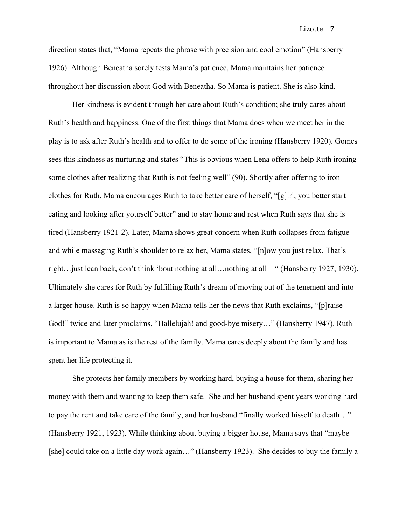direction states that, "Mama repeats the phrase with precision and cool emotion" (Hansberry 1926). Although Beneatha sorely tests Mama's patience, Mama maintains her patience throughout her discussion about God with Beneatha. So Mama is patient. She is also kind.

Her kindness is evident through her care about Ruth's condition; she truly cares about Ruth's health and happiness. One of the first things that Mama does when we meet her in the play is to ask after Ruth's health and to offer to do some of the ironing (Hansberry 1920). Gomes sees this kindness as nurturing and states "This is obvious when Lena offers to help Ruth ironing some clothes after realizing that Ruth is not feeling well" (90). Shortly after offering to iron clothes for Ruth, Mama encourages Ruth to take better care of herself, "[g]irl, you better start eating and looking after yourself better" and to stay home and rest when Ruth says that she is tired (Hansberry 1921-2). Later, Mama shows great concern when Ruth collapses from fatigue and while massaging Ruth's shoulder to relax her, Mama states, "[n]ow you just relax. That's right…just lean back, don't think 'bout nothing at all…nothing at all—" (Hansberry 1927, 1930). Ultimately she cares for Ruth by fulfilling Ruth's dream of moving out of the tenement and into a larger house. Ruth is so happy when Mama tells her the news that Ruth exclaims, "[p]raise God!" twice and later proclaims, "Hallelujah! and good-bye misery..." (Hansberry 1947). Ruth is important to Mama as is the rest of the family. Mama cares deeply about the family and has spent her life protecting it.

She protects her family members by working hard, buying a house for them, sharing her money with them and wanting to keep them safe. She and her husband spent years working hard to pay the rent and take care of the family, and her husband "finally worked hisself to death…" (Hansberry 1921, 1923). While thinking about buying a bigger house, Mama says that "maybe [she] could take on a little day work again..." (Hansberry 1923). She decides to buy the family a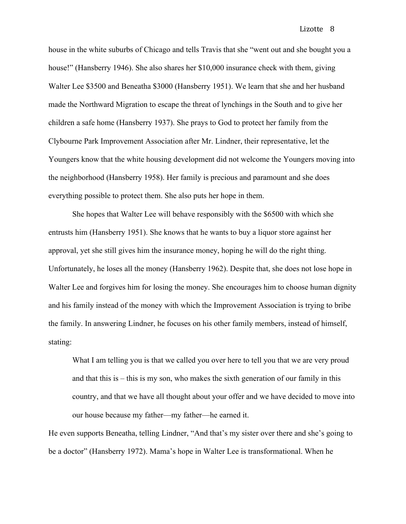house in the white suburbs of Chicago and tells Travis that she "went out and she bought you a house!" (Hansberry 1946). She also shares her \$10,000 insurance check with them, giving Walter Lee \$3500 and Beneatha \$3000 (Hansberry 1951). We learn that she and her husband made the Northward Migration to escape the threat of lynchings in the South and to give her children a safe home (Hansberry 1937). She prays to God to protect her family from the Clybourne Park Improvement Association after Mr. Lindner, their representative, let the Youngers know that the white housing development did not welcome the Youngers moving into the neighborhood (Hansberry 1958). Her family is precious and paramount and she does everything possible to protect them. She also puts her hope in them.

She hopes that Walter Lee will behave responsibly with the \$6500 with which she entrusts him (Hansberry 1951). She knows that he wants to buy a liquor store against her approval, yet she still gives him the insurance money, hoping he will do the right thing. Unfortunately, he loses all the money (Hansberry 1962). Despite that, she does not lose hope in Walter Lee and forgives him for losing the money. She encourages him to choose human dignity and his family instead of the money with which the Improvement Association is trying to bribe the family. In answering Lindner, he focuses on his other family members, instead of himself, stating:

What I am telling you is that we called you over here to tell you that we are very proud and that this is – this is my son, who makes the sixth generation of our family in this country, and that we have all thought about your offer and we have decided to move into our house because my father—my father—he earned it.

He even supports Beneatha, telling Lindner, "And that's my sister over there and she's going to be a doctor" (Hansberry 1972). Mama's hope in Walter Lee is transformational. When he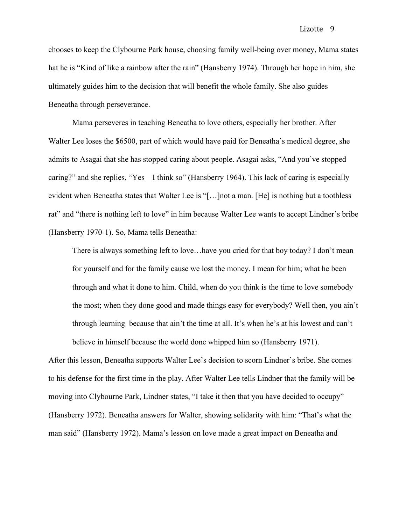chooses to keep the Clybourne Park house, choosing family well-being over money, Mama states hat he is "Kind of like a rainbow after the rain" (Hansberry 1974). Through her hope in him, she ultimately guides him to the decision that will benefit the whole family. She also guides Beneatha through perseverance.

Mama perseveres in teaching Beneatha to love others, especially her brother. After Walter Lee loses the \$6500, part of which would have paid for Beneatha's medical degree, she admits to Asagai that she has stopped caring about people. Asagai asks, "And you've stopped caring?" and she replies, "Yes—I think so" (Hansberry 1964). This lack of caring is especially evident when Beneatha states that Walter Lee is "[…]not a man. [He] is nothing but a toothless rat" and "there is nothing left to love" in him because Walter Lee wants to accept Lindner's bribe (Hansberry 1970-1). So, Mama tells Beneatha:

There is always something left to love…have you cried for that boy today? I don't mean for yourself and for the family cause we lost the money. I mean for him; what he been through and what it done to him. Child, when do you think is the time to love somebody the most; when they done good and made things easy for everybody? Well then, you ain't through learning–because that ain't the time at all. It's when he's at his lowest and can't believe in himself because the world done whipped him so (Hansberry 1971).

After this lesson, Beneatha supports Walter Lee's decision to scorn Lindner's bribe. She comes to his defense for the first time in the play. After Walter Lee tells Lindner that the family will be moving into Clybourne Park, Lindner states, "I take it then that you have decided to occupy" (Hansberry 1972). Beneatha answers for Walter, showing solidarity with him: "That's what the man said" (Hansberry 1972). Mama's lesson on love made a great impact on Beneatha and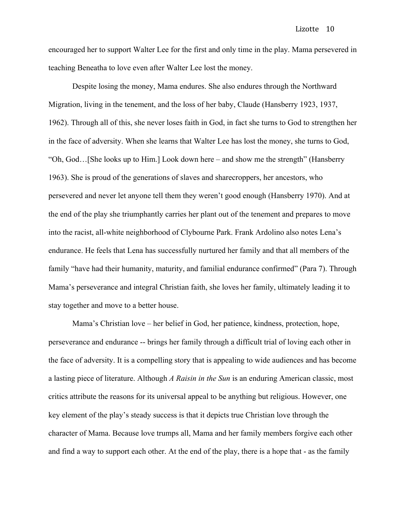encouraged her to support Walter Lee for the first and only time in the play. Mama persevered in teaching Beneatha to love even after Walter Lee lost the money.

Despite losing the money, Mama endures. She also endures through the Northward Migration, living in the tenement, and the loss of her baby, Claude (Hansberry 1923, 1937, 1962). Through all of this, she never loses faith in God, in fact she turns to God to strengthen her in the face of adversity. When she learns that Walter Lee has lost the money, she turns to God, "Oh, God…[She looks up to Him.] Look down here – and show me the strength" (Hansberry 1963). She is proud of the generations of slaves and sharecroppers, her ancestors, who persevered and never let anyone tell them they weren't good enough (Hansberry 1970). And at the end of the play she triumphantly carries her plant out of the tenement and prepares to move into the racist, all-white neighborhood of Clybourne Park. Frank Ardolino also notes Lena's endurance. He feels that Lena has successfully nurtured her family and that all members of the family "have had their humanity, maturity, and familial endurance confirmed" (Para 7). Through Mama's perseverance and integral Christian faith, she loves her family, ultimately leading it to stay together and move to a better house.

Mama's Christian love – her belief in God, her patience, kindness, protection, hope, perseverance and endurance -- brings her family through a difficult trial of loving each other in the face of adversity. It is a compelling story that is appealing to wide audiences and has become a lasting piece of literature. Although *A Raisin in the Sun* is an enduring American classic, most critics attribute the reasons for its universal appeal to be anything but religious. However, one key element of the play's steady success is that it depicts true Christian love through the character of Mama. Because love trumps all, Mama and her family members forgive each other and find a way to support each other. At the end of the play, there is a hope that - as the family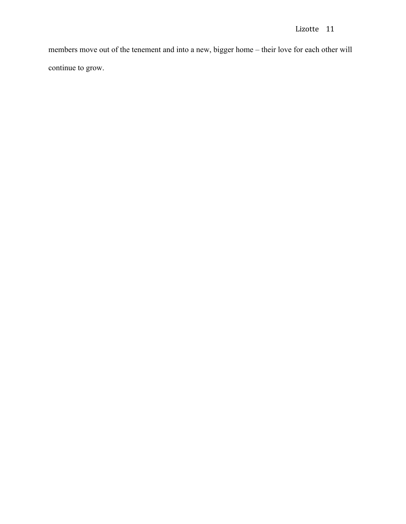members move out of the tenement and into a new, bigger home – their love for each other will continue to grow.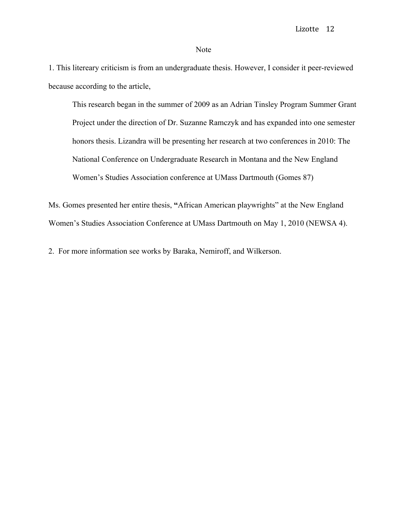#### Note

1. This litereary criticism is from an undergraduate thesis. However, I consider it peer-reviewed because according to the article,

This research began in the summer of 2009 as an Adrian Tinsley Program Summer Grant Project under the direction of Dr. Suzanne Ramczyk and has expanded into one semester honors thesis. Lizandra will be presenting her research at two conferences in 2010: The National Conference on Undergraduate Research in Montana and the New England Women's Studies Association conference at UMass Dartmouth (Gomes 87)

Ms. Gomes presented her entire thesis, **"**African American playwrights" at the New England Women's Studies Association Conference at UMass Dartmouth on May 1, 2010 (NEWSA 4).

2. For more information see works by Baraka, Nemiroff, and Wilkerson.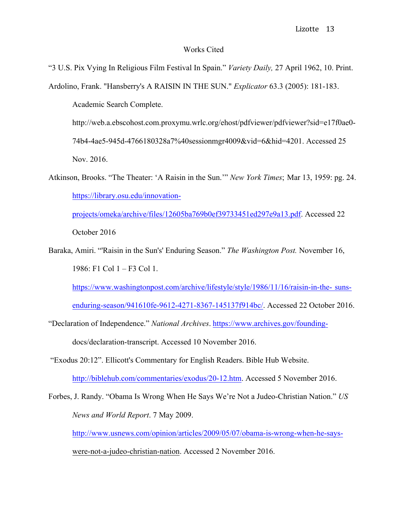### Works Cited

"3 U.S. Pix Vying In Religious Film Festival In Spain." *Variety Daily,* 27 April 1962, 10. Print.

Ardolino, Frank. "Hansberry's A RAISIN IN THE SUN." *Explicator* 63.3 (2005): 181-183.

Academic Search Complete.

http://web.a.ebscohost.com.proxymu.wrlc.org/ehost/pdfviewer/pdfviewer?sid=e17f0ae0-

74b4-4ae5-945d-4766180328a7%40sessionmgr4009&vid=6&hid=4201. Accessed 25

Nov. 2016.

Atkinson, Brooks. "The Theater: 'A Raisin in the Sun.'" *New York Times*; Mar 13, 1959: pg. 24. https://library.osu.edu/innovation-

projects/omeka/archive/files/12605ba769b0ef39733451ed297e9a13.pdf. Accessed 22 October 2016

Baraka, Amiri. "'Raisin in the Sun's' Enduring Season." *The Washington Post.* November 16, 1986: F1 Col 1 – F3 Col 1.

https://www.washingtonpost.com/archive/lifestyle/style/1986/11/16/raisin-in-the- suns-

enduring-season/941610fe-9612-4271-8367-145137f914bc/. Accessed 22 October 2016.

"Declaration of Independence." *National Archives*. https://www.archives.gov/foundingdocs/declaration-transcript. Accessed 10 November 2016.

"Exodus 20:12". Ellicott's Commentary for English Readers. Bible Hub Website. http://biblehub.com/commentaries/exodus/20-12.htm. Accessed 5 November 2016.

Forbes, J. Randy. "Obama Is Wrong When He Says We're Not a Judeo-Christian Nation." *US News and World Report*. 7 May 2009.

http://www.usnews.com/opinion/articles/2009/05/07/obama-is-wrong-when-he-says-

were-not-a-judeo-christian-nation. Accessed 2 November 2016.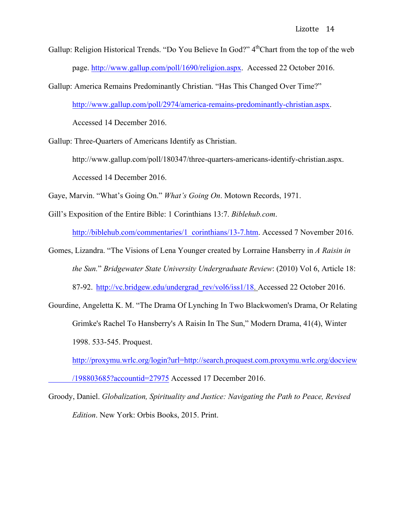- Gallup: Religion Historical Trends. "Do You Believe In God?"  $4<sup>th</sup>$ Chart from the top of the web page. http://www.gallup.com/poll/1690/religion.aspx. Accessed 22 October 2016.
- Gallup: America Remains Predominantly Christian. "Has This Changed Over Time?" http://www.gallup.com/poll/2974/america-remains-predominantly-christian.aspx. Accessed 14 December 2016.

Gallup: Three-Quarters of Americans Identify as Christian.

http://www.gallup.com/poll/180347/three-quarters-americans-identify-christian.aspx. Accessed 14 December 2016.

Gaye, Marvin. "What's Going On." *What's Going On*. Motown Records, 1971.

Gill's Exposition of the Entire Bible: 1 Corinthians 13:7. *Biblehub.com*.

http://biblehub.com/commentaries/1\_corinthians/13-7.htm. Accessed 7 November 2016.

Gomes, Lizandra. "The Visions of Lena Younger created by Lorraine Hansberry in *A Raisin in the Sun.*" *Bridgewater State University Undergraduate Review*: (2010) Vol 6, Article 18: 87-92. http://vc.bridgew.edu/undergrad\_rev/vol6/iss1/18. Accessed 22 October 2016.

Gourdine, Angeletta K. M. "The Drama Of Lynching In Two Blackwomen's Drama, Or Relating Grimke's Rachel To Hansberry's A Raisin In The Sun," Modern Drama, 41(4), Winter 1998. 533-545. Proquest.

http://proxymu.wrlc.org/login?url=http://search.proquest.com.proxymu.wrlc.org/docview /198803685?accountid=27975 Accessed 17 December 2016.

Groody, Daniel. *Globalization, Spirituality and Justice: Navigating the Path to Peace, Revised Edition*. New York: Orbis Books, 2015. Print.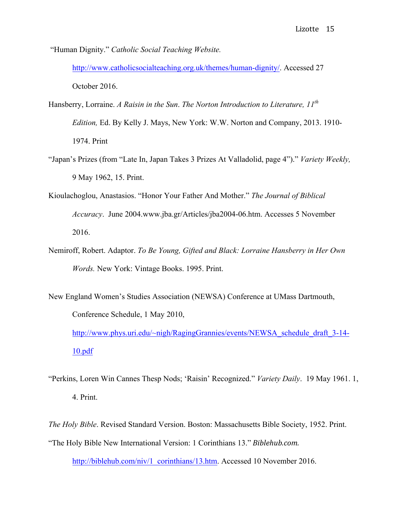"Human Dignity." *Catholic Social Teaching Website.*

http://www.catholicsocialteaching.org.uk/themes/human-dignity/. Accessed 27 October 2016.

- Hansberry, Lorraine. *A Raisin in the Sun*. *The Norton Introduction to Literature, 11th Edition,* Ed. By Kelly J. Mays, New York: W.W. Norton and Company, 2013. 1910- 1974. Print
- "Japan's Prizes (from "Late In, Japan Takes 3 Prizes At Valladolid, page 4")." *Variety Weekly,*  9 May 1962, 15. Print.
- Kioulachoglou, Anastasios. "Honor Your Father And Mother." *The Journal of Biblical Accuracy*. June 2004.www.jba.gr/Articles/jba2004-06.htm. Accesses 5 November 2016.
- Nemiroff, Robert. Adaptor. *To Be Young, Gifted and Black: Lorraine Hansberry in Her Own Words.* New York: Vintage Books. 1995. Print.

New England Women's Studies Association (NEWSA) Conference at UMass Dartmouth, Conference Schedule, 1 May 2010,

http://www.phys.uri.edu/~nigh/RagingGrannies/events/NEWSA\_schedule\_draft\_3-14-10.pdf

"Perkins, Loren Win Cannes Thesp Nods; 'Raisin' Recognized." *Variety Daily*. 19 May 1961. 1, 4. Print.

*The Holy Bible*. Revised Standard Version. Boston: Massachusetts Bible Society, 1952. Print. "The Holy Bible New International Version: 1 Corinthians 13." *Biblehub.com.*

http://biblehub.com/niv/1\_corinthians/13.htm. Accessed 10 November 2016.